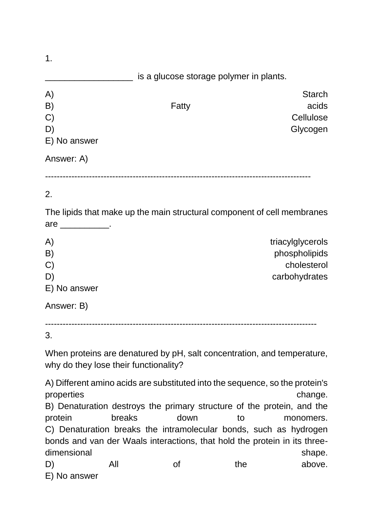| $\mathbf 1$ . |                                         |               |
|---------------|-----------------------------------------|---------------|
|               | is a glucose storage polymer in plants. |               |
| A)            |                                         | <b>Starch</b> |
| B)            | Fatty                                   | acids         |
| $\mathcal{C}$ |                                         | Cellulose     |
| D)            |                                         | Glycogen      |
| E) No answer  |                                         |               |
| Answer: A)    |                                         |               |
|               |                                         |               |

## 2.

The lipids that make up the main structural component of cell membranes are \_\_\_\_\_\_\_\_\_\_.

| A)            | triacylglycerols |
|---------------|------------------|
| B)            | phospholipids    |
| $\mathcal{C}$ | cholesterol      |
| D)            | carbohydrates    |
| E) No answer  |                  |
| Answer: B)    |                  |

--------------------------------------------------------------------------------------------- 3.

When proteins are denatured by pH, salt concentration, and temperature,

why do they lose their functionality?

A) Different amino acids are substituted into the sequence, so the protein's properties change. B) Denaturation destroys the primary structure of the protein, and the protein breaks down to monomers. C) Denaturation breaks the intramolecular bonds, such as hydrogen bonds and van der Waals interactions, that hold the protein in its threedimensional shape. D) All of the above.

E) No answer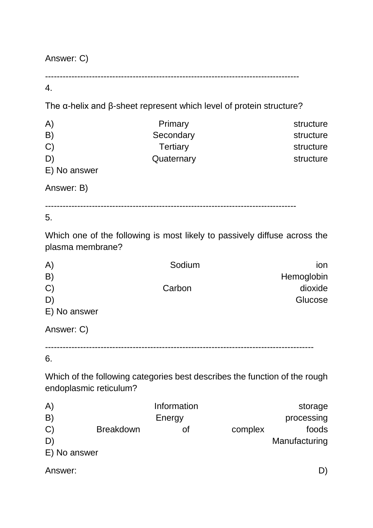Answer: C)

---------------------------------------------------------------------------------------

## 4.

The α-helix and β-sheet represent which level of protein structure?

| A)            | Primary    | structure |
|---------------|------------|-----------|
| B)            | Secondary  | structure |
| $\mathcal{C}$ | Tertiary   | structure |
| D)            | Quaternary | structure |
| E) No answer  |            |           |
|               |            |           |

Answer: B)

--------------------------------------------------------------------------------------

5.

Which one of the following is most likely to passively diffuse across the plasma membrane?

| A)            | Sodium | ion        |
|---------------|--------|------------|
| B)            |        | Hemoglobin |
| $\mathcal{C}$ | Carbon | dioxide    |
| D             |        | Glucose    |
| E) No answer  |        |            |
| Answer: C)    |        |            |

--------------------------------------------------------------------------------------------

## 6.

Which of the following categories best describes the function of the rough endoplasmic reticulum?

| A)           |                  | Information |         | storage       |
|--------------|------------------|-------------|---------|---------------|
| B)           |                  | Energy      |         | processing    |
| $\mathbf{C}$ | <b>Breakdown</b> |             | complex | foods         |
| D'           |                  |             |         | Manufacturing |
| E) No answer |                  |             |         |               |
|              |                  |             |         |               |

Answer: D)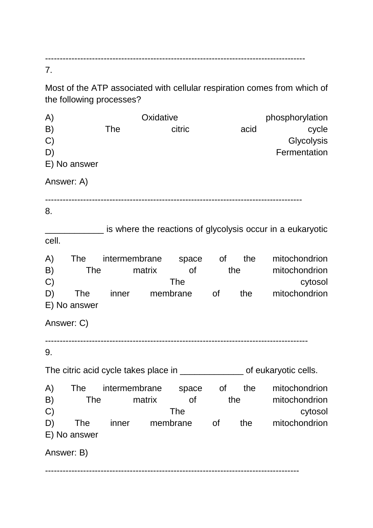----------------------------------------------------------------------------------------- 7.

Most of the ATP associated with cellular respiration comes from which of the following processes?

| A)               | Oxidative                                                                  |            |     |      | phosphorylation                                              |
|------------------|----------------------------------------------------------------------------|------------|-----|------|--------------------------------------------------------------|
| B)               | <b>The</b>                                                                 | citric     |     | acid | cycle                                                        |
| C)               |                                                                            |            |     |      | Glycolysis                                                   |
| D)               |                                                                            |            |     |      | Fermentation                                                 |
| E) No answer     |                                                                            |            |     |      |                                                              |
| Answer: A)       |                                                                            |            |     |      |                                                              |
| 8.               |                                                                            |            |     |      |                                                              |
|                  |                                                                            |            |     |      | _ is where the reactions of glycolysis occur in a eukaryotic |
| cell.            |                                                                            |            |     |      |                                                              |
| A)<br><b>The</b> | intermembrane space of                                                     |            |     | the  | mitochondrion                                                |
| B)<br>The        | matrix                                                                     | of         | the |      | mitochondrion                                                |
| C)               |                                                                            | <b>The</b> |     |      | cytosol                                                      |
| D)<br><b>The</b> | inner                                                                      | membrane   | 0f  | the  | mitochondrion                                                |
| E) No answer     |                                                                            |            |     |      |                                                              |
| Answer: C)       |                                                                            |            |     |      |                                                              |
| 9.               |                                                                            |            |     |      |                                                              |
|                  | The citric acid cycle takes place in ________________ of eukaryotic cells. |            |     |      |                                                              |
| A)               | The intermembrane                                                          | space      | 0f  | the  | mitochondrion                                                |
| B)<br><b>The</b> | matrix                                                                     | <b>of</b>  | the |      | mitochondrion                                                |
| C)               |                                                                            | <b>The</b> |     |      | cytosol                                                      |
| D)<br><b>The</b> | inner                                                                      | membrane   | 0f  | the  | mitochondrion                                                |
| E) No answer     |                                                                            |            |     |      |                                                              |
| Answer: B)       |                                                                            |            |     |      |                                                              |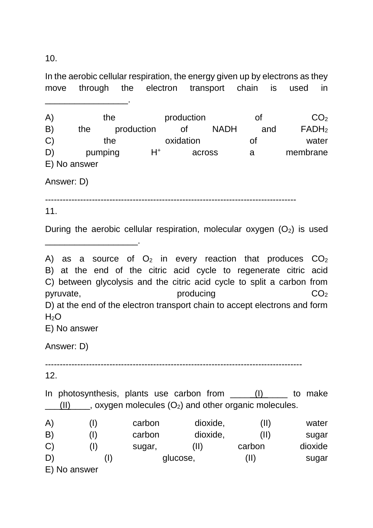10.

In the aerobic cellular respiration, the energy given up by electrons as they move through the electron transport chain is used in \_\_\_\_\_\_\_\_\_\_\_\_\_\_\_\_\_.

 $(A)$  the production of  $CO<sub>2</sub>$ B) the production of NADH and FADH<sup>2</sup> C) the oxidation of water D) pumping H<sup>+</sup> across a membrane E) No answer

Answer: D)

\_\_\_\_\_\_\_\_\_\_\_\_\_\_\_\_\_\_\_.

--------------------------------------------------------------------------------------

11.

During the aerobic cellular respiration, molecular oxygen  $(O_2)$  is used

A) as a source of  $O_2$  in every reaction that produces  $CO_2$ B) at the end of the citric acid cycle to regenerate citric acid C) between glycolysis and the citric acid cycle to split a carbon from pyruvate,  $\qquad \qquad \text{producing} \qquad \qquad \text{CO}_2$ D) at the end of the electron transport chain to accept electrons and form  $H<sub>2</sub>O$ E) No answer

Answer: D)

----------------------------------------------------------------------------------------

12.

In photosynthesis, plants use carbon from (I) to make  $(II)$  , oxygen molecules  $(O_2)$  and other organic molecules.

| A)                | carbon | dioxide, | (II)   | water   |
|-------------------|--------|----------|--------|---------|
| $\vert B \rangle$ | carbon | dioxide, | (II)   | sugar   |
| $\mathbf{C}$      | sugar, | (II)     | carbon | dioxide |
| D,                |        | glucose, | (II)   | sugar   |
| E) No answer      |        |          |        |         |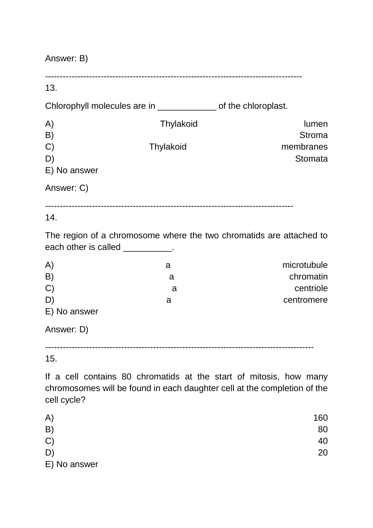| Answer: B)                               |                                                                |                                                                     |  |
|------------------------------------------|----------------------------------------------------------------|---------------------------------------------------------------------|--|
| 13.                                      |                                                                |                                                                     |  |
|                                          | Chlorophyll molecules are in _____________ of the chloroplast. |                                                                     |  |
| A)<br>B)<br>C)<br>D)<br>E) No answer     | Thylakoid<br>Thylakoid                                         | lumen<br><b>Stroma</b><br>membranes<br>Stomata                      |  |
| Answer: C)                               |                                                                |                                                                     |  |
| 14.<br>each other is called ___________. |                                                                | The region of a chromosome where the two chromatids are attached to |  |
| A)<br>B)<br>C)<br>D)<br>E) No answer     | a<br>a<br>a<br>a                                               | microtubule<br>chromatin<br>centriole<br>centromere                 |  |
| Answer: D)                               |                                                                |                                                                     |  |
| 15.                                      |                                                                | If a cell contains 80 chromatids at the start of mitosis, how many  |  |

chromosomes will be found in each daughter cell at the completion of the cell cycle?

| A)           | 160 |
|--------------|-----|
| B)           | 80  |
| C)           | 40  |
| D)           | 20  |
| E) No answer |     |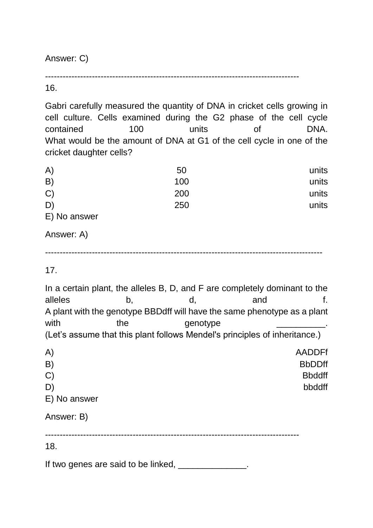Answer: C)

---------------------------------------------------------------------------------------

16.

Gabri carefully measured the quantity of DNA in cricket cells growing in cell culture. Cells examined during the G2 phase of the cell cycle contained 100 units of DNA. What would be the amount of DNA at G1 of the cell cycle in one of the cricket daughter cells?

| A)                   | 50  | units |
|----------------------|-----|-------|
| B)                   | 100 | units |
| C)                   | 200 | units |
| D)                   | 250 | units |
| $\Gamma$ Na $\alpha$ |     |       |

E) No answer

Answer: A)

-----------------------------------------------------------------------------------------------

17.

In a certain plant, the alleles B, D, and F are completely dominant to the alleles b, d, and f. A plant with the genotype BBDdff will have the same phenotype as a plant with the genotype (Let's assume that this plant follows Mendel's principles of inheritance.)

| A)           | <b>AADDFf</b> |
|--------------|---------------|
| B)           | <b>BbDDff</b> |
| C)           | <b>Bbddff</b> |
| D)           | bbddff        |
| E) No answer |               |
| Answer: B)   |               |

---------------------------------------------------------------------------------------

18.

If two genes are said to be linked, \_\_\_\_\_\_\_\_\_\_\_\_\_\_.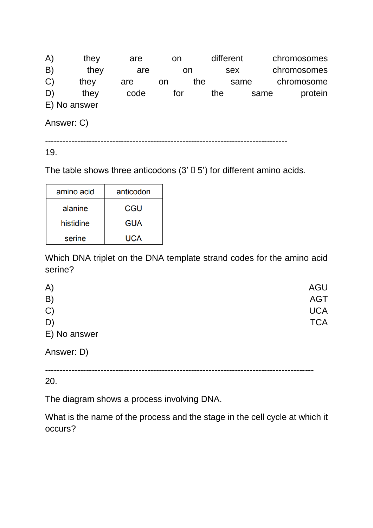A) they are on different chromosomes B) they are on sex chromosomes<br>
C) they are on the same chromosome C) they are on the same chromosome D) they code for the same protein E) No answer Answer: C)

-----------------------------------------------------------------------------------

19.

The table shows three anticodons  $(3' \Box 5')$  for different amino acids.

| amino acid | anticodon  |
|------------|------------|
| alanine    | CGU        |
| histidine  | <b>GUA</b> |
| serine     | UCA        |

Which DNA triplet on the DNA template strand codes for the amino acid serine?

| A)           | <b>AGU</b> |
|--------------|------------|
| B)           | <b>AGT</b> |
| C)           | <b>UCA</b> |
| D)           | <b>TCA</b> |
| E) No answer |            |

Answer: D)

--------------------------------------------------------------------------------------------

20.

The diagram shows a process involving DNA.

What is the name of the process and the stage in the cell cycle at which it occurs?